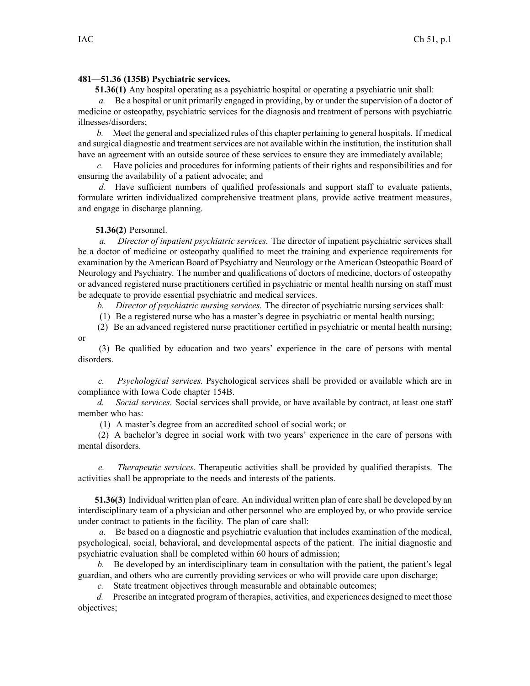## **481—51.36 (135B) Psychiatric services.**

**51.36(1)** Any hospital operating as <sup>a</sup> psychiatric hospital or operating <sup>a</sup> psychiatric unit shall:

*a.* Be <sup>a</sup> hospital or unit primarily engaged in providing, by or under the supervision of <sup>a</sup> doctor of medicine or osteopathy, psychiatric services for the diagnosis and treatment of persons with psychiatric illnesses/disorders;

*b.* Meet the general and specialized rules of this chapter pertaining to general hospitals. If medical and surgical diagnostic and treatment services are not available within the institution, the institution shall have an agreemen<sup>t</sup> with an outside source of these services to ensure they are immediately available;

*c.* Have policies and procedures for informing patients of their rights and responsibilities and for ensuring the availability of <sup>a</sup> patient advocate; and

*d.* Have sufficient numbers of qualified professionals and suppor<sup>t</sup> staff to evaluate patients, formulate written individualized comprehensive treatment plans, provide active treatment measures, and engage in discharge planning.

## **51.36(2)** Personnel.

*a. Director of inpatient psychiatric services.* The director of inpatient psychiatric services shall be <sup>a</sup> doctor of medicine or osteopathy qualified to meet the training and experience requirements for examination by the American Board of Psychiatry and Neurology or the American Osteopathic Board of Neurology and Psychiatry. The number and qualifications of doctors of medicine, doctors of osteopathy or advanced registered nurse practitioners certified in psychiatric or mental health nursing on staff must be adequate to provide essential psychiatric and medical services.

*b. Director of psychiatric nursing services.* The director of psychiatric nursing services shall:

(1) Be <sup>a</sup> registered nurse who has <sup>a</sup> master's degree in psychiatric or mental health nursing;

(2) Be an advanced registered nurse practitioner certified in psychiatric or mental health nursing; or

(3) Be qualified by education and two years' experience in the care of persons with mental disorders.

*c. Psychological services.* Psychological services shall be provided or available which are in compliance with Iowa Code chapter [154B](https://www.legis.iowa.gov/docs/ico/chapter/154B.pdf).

*d. Social services.* Social services shall provide, or have available by contract, at least one staff member who has:

(1) A master's degree from an accredited school of social work; or

(2) A bachelor's degree in social work with two years' experience in the care of persons with mental disorders.

*e. Therapeutic services.* Therapeutic activities shall be provided by qualified therapists. The activities shall be appropriate to the needs and interests of the patients.

**51.36(3)** Individual written plan of care. An individual written plan of care shall be developed by an interdisciplinary team of <sup>a</sup> physician and other personnel who are employed by, or who provide service under contract to patients in the facility. The plan of care shall:

*a.* Be based on <sup>a</sup> diagnostic and psychiatric evaluation that includes examination of the medical, psychological, social, behavioral, and developmental aspects of the patient. The initial diagnostic and psychiatric evaluation shall be completed within 60 hours of admission;

*b.* Be developed by an interdisciplinary team in consultation with the patient, the patient's legal guardian, and others who are currently providing services or who will provide care upon discharge;

*c.* State treatment objectives through measurable and obtainable outcomes;

*d.* Prescribe an integrated program of therapies, activities, and experiences designed to meet those objectives;